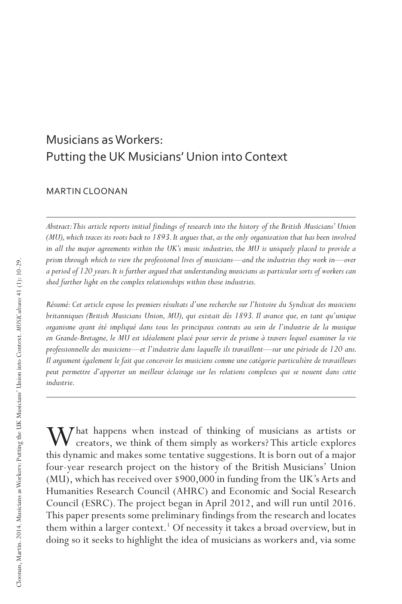# Musicians as Workers: Putting the UK Musicians' Union into Context

#### MARTIN CLOONAN

*Abstract: This article reports initial findings of research into the history of the British Musicians' Union (MU), which traces its roots back to 1893. It argues that, as the only organization that has been involved in all the major agreements within the UK's music industries, the MU is uniquely placed to provide a prism through which to view the professional lives of musicians—and the industries they work in—over a period of 120 years. It is further argued that understanding musicians as particular sorts of workers can shed further light on the complex relationships within those industries.*

*Résumé: Cet article expose les premiers résultats d'une recherche sur l'histoire du Syndicat des musiciens britanniques (British Musicians Union, MU), qui existait dès 1893. Il avance que, en tant qu'unique organisme ayant été impliqué dans tous les principaux contrats au sein de l'industrie de la musique en Grande-Bretagne, le MU est idéalement placé pour servir de prisme à travers lequel examiner la vie professionnelle des musiciens—et l'industrie dans laquelle ils travaillent—sur une période de 120 ans. Il argument également le fait que concevoir les musiciens comme une catégorie particulière de travailleurs peut permettre d'apporter un meilleur éclairage sur les relations complexes qui se nouent dans cette industrie.*

 $\sum_{i=1}^{n}$  That happens when instead of thinking of musicians as artists or creators, we think of them simply as workers? This article explores this dynamic and makes some tentative suggestions. It is born out of a major four-year research project on the history of the British Musicians' Union (MU), which has received over \$900,000 in funding from the UK's Arts and Humanities Research Council (AHRC) and Economic and Social Research Council (ESRC). The project began in April 2012, and will run until 2016. This paper presents some preliminary findings from the research and locates them within a larger context.<sup>1</sup> Of necessity it takes a broad overview, but in doing so it seeks to highlight the idea of musicians as workers and, via some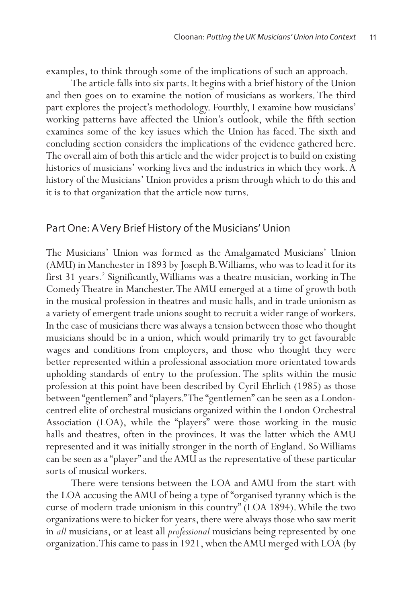examples, to think through some of the implications of such an approach.

The article falls into six parts. It begins with a brief history of the Union and then goes on to examine the notion of musicians as workers. The third part explores the project's methodology. Fourthly, I examine how musicians' working patterns have affected the Union's outlook, while the fifth section examines some of the key issues which the Union has faced. The sixth and concluding section considers the implications of the evidence gathered here. The overall aim of both this article and the wider project is to build on existing histories of musicians' working lives and the industries in which they work. A history of the Musicians' Union provides a prism through which to do this and it is to that organization that the article now turns.

#### Part One: A Very Brief History of the Musicians' Union

The Musicians' Union was formed as the Amalgamated Musicians' Union (AMU) in Manchester in 1893 by Joseph B. Williams, who was to lead it for its first 31 years.<sup>2</sup> Significantly, Williams was a theatre musician, working in The Comedy Theatre in Manchester. The AMU emerged at a time of growth both in the musical profession in theatres and music halls, and in trade unionism as a variety of emergent trade unions sought to recruit a wider range of workers. In the case of musicians there was always a tension between those who thought musicians should be in a union, which would primarily try to get favourable wages and conditions from employers, and those who thought they were better represented within a professional association more orientated towards upholding standards of entry to the profession. The splits within the music profession at this point have been described by Cyril Ehrlich (1985) as those between "gentlemen" and "players." The "gentlemen" can be seen as a Londoncentred elite of orchestral musicians organized within the London Orchestral Association (LOA), while the "players" were those working in the music halls and theatres, often in the provinces. It was the latter which the AMU represented and it was initially stronger in the north of England. So Williams can be seen as a "player" and the AMU as the representative of these particular sorts of musical workers.

There were tensions between the LOA and AMU from the start with the LOA accusing the AMU of being a type of "organised tyranny which is the curse of modern trade unionism in this country" (LOA 1894). While the two organizations were to bicker for years, there were always those who saw merit in *all* musicians, or at least all *professional* musicians being represented by one organization. This came to pass in 1921, when the AMU merged with LOA (by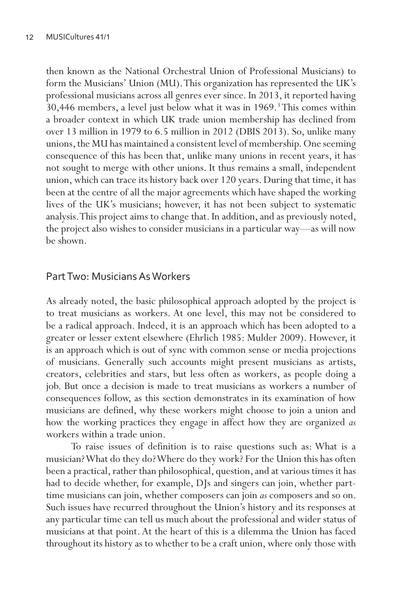then known as the National Orchestral Union of Professional Musicians) to form the Musicians' Union (MU). This organization has represented the UK's professional musicians across all genres ever since. In 2013, it reported having 30,446 members, a level just below what it was in 1969.<sup>3</sup> This comes within a broader context in which UK trade union membership has declined from over 13 million in 1979 to 6.5 million in 2012 (DBIS 2013). So, unlike many unions, the MU has maintained a consistent level of membership. One seeming consequence of this has been that, unlike many unions in recent years, it has not sought to merge with other unions. It thus remains a small, independent union, which can trace its history back over 120 years. During that time, it has been at the centre of all the major agreements which have shaped the working lives of the UK's musicians; however, it has not been subject to systematic analysis. This project aims to change that. In addition, and as previously noted, the project also wishes to consider musicians in a particular way—as will now be shown.

# Part Two: Musicians As Workers

As already noted, the basic philosophical approach adopted by the project is to treat musicians as workers. At one level, this may not be considered to be a radical approach. Indeed, it is an approach which has been adopted to a greater or lesser extent elsewhere (Ehrlich 1985: Mulder 2009). However, it is an approach which is out of sync with common sense or media projections of musicians. Generally such accounts might present musicians as artists, creators, celebrities and stars, but less often as workers, as people doing a job. But once a decision is made to treat musicians as workers a number of consequences follow, as this section demonstrates in its examination of how musicians are defined, why these workers might choose to join a union and how the working practices they engage in affect how they are organized *as* workers within a trade union.

To raise issues of definition is to raise questions such as: What is a musician? What do they do? Where do they work? For the Union this has often been a practical, rather than philosophical, question, and at various times it has had to decide whether, for example, DJs and singers can join, whether parttime musicians can join, whether composers can join *as* composers and so on. Such issues have recurred throughout the Union's history and its responses at any particular time can tell us much about the professional and wider status of musicians at that point. At the heart of this is a dilemma the Union has faced throughout its history as to whether to be a craft union, where only those with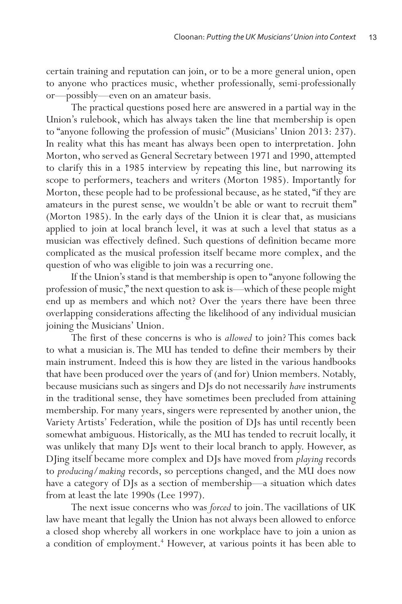certain training and reputation can join, or to be a more general union, open to anyone who practices music, whether professionally, semi-professionally or—possibly—even on an amateur basis.

The practical questions posed here are answered in a partial way in the Union's rulebook, which has always taken the line that membership is open to "anyone following the profession of music" (Musicians' Union 2013: 237). In reality what this has meant has always been open to interpretation. John Morton, who served as General Secretary between 1971 and 1990, attempted to clarify this in a 1985 interview by repeating this line, but narrowing its scope to performers, teachers and writers (Morton 1985). Importantly for Morton, these people had to be professional because, as he stated, "if they are amateurs in the purest sense, we wouldn't be able or want to recruit them" (Morton 1985). In the early days of the Union it is clear that, as musicians applied to join at local branch level, it was at such a level that status as a musician was effectively defined. Such questions of definition became more complicated as the musical profession itself became more complex, and the question of who was eligible to join was a recurring one.

If the Union's stand is that membership is open to "anyone following the profession of music," the next question to ask is—which of these people might end up as members and which not? Over the years there have been three overlapping considerations affecting the likelihood of any individual musician joining the Musicians' Union.

The first of these concerns is who is *allowed* to join? This comes back to what a musician is. The MU has tended to define their members by their main instrument. Indeed this is how they are listed in the various handbooks that have been produced over the years of (and for) Union members. Notably, because musicians such as singers and DJs do not necessarily *have* instruments in the traditional sense, they have sometimes been precluded from attaining membership. For many years, singers were represented by another union, the Variety Artists' Federation, while the position of DJs has until recently been somewhat ambiguous. Historically, as the MU has tended to recruit locally, it was unlikely that many DJs went to their local branch to apply. However, as DJing itself became more complex and DJs have moved from *playing* records to *producing*/*making* records, so perceptions changed, and the MU does now have a category of DJs as a section of membership—a situation which dates from at least the late 1990s (Lee 1997).

The next issue concerns who was *forced* to join. The vacillations of UK law have meant that legally the Union has not always been allowed to enforce a closed shop whereby all workers in one workplace have to join a union as a condition of employment.<sup>4</sup> However, at various points it has been able to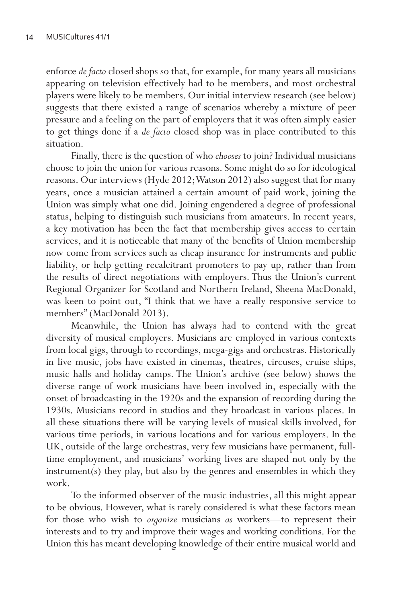enforce *de facto* closed shops so that, for example, for many years all musicians appearing on television effectively had to be members, and most orchestral players were likely to be members. Our initial interview research (see below) suggests that there existed a range of scenarios whereby a mixture of peer pressure and a feeling on the part of employers that it was often simply easier to get things done if a *de facto* closed shop was in place contributed to this situation.

Finally, there is the question of who *chooses* to join? Individual musicians choose to join the union for various reasons. Some might do so for ideological reasons. Our interviews (Hyde 2012; Watson 2012) also suggest that for many years, once a musician attained a certain amount of paid work, joining the Union was simply what one did. Joining engendered a degree of professional status, helping to distinguish such musicians from amateurs. In recent years, a key motivation has been the fact that membership gives access to certain services, and it is noticeable that many of the benefits of Union membership now come from services such as cheap insurance for instruments and public liability, or help getting recalcitrant promoters to pay up, rather than from the results of direct negotiations with employers. Thus the Union's current Regional Organizer for Scotland and Northern Ireland, Sheena MacDonald, was keen to point out, "I think that we have a really responsive service to members" (MacDonald 2013).

Meanwhile, the Union has always had to contend with the great diversity of musical employers. Musicians are employed in various contexts from local gigs, through to recordings, mega-gigs and orchestras. Historically in live music, jobs have existed in cinemas, theatres, circuses, cruise ships, music halls and holiday camps. The Union's archive (see below) shows the diverse range of work musicians have been involved in, especially with the onset of broadcasting in the 1920s and the expansion of recording during the 1930s. Musicians record in studios and they broadcast in various places. In all these situations there will be varying levels of musical skills involved, for various time periods, in various locations and for various employers. In the UK, outside of the large orchestras, very few musicians have permanent, fulltime employment, and musicians' working lives are shaped not only by the instrument(s) they play, but also by the genres and ensembles in which they work.

To the informed observer of the music industries, all this might appear to be obvious. However, what is rarely considered is what these factors mean for those who wish to *organize* musicians *as* workers—to represent their interests and to try and improve their wages and working conditions. For the Union this has meant developing knowledge of their entire musical world and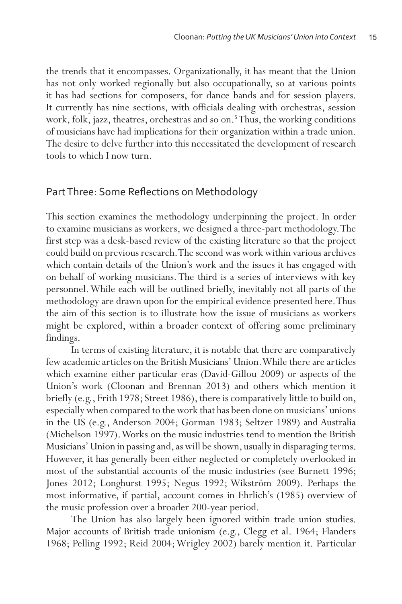the trends that it encompasses. Organizationally, it has meant that the Union has not only worked regionally but also occupationally, so at various points it has had sections for composers, for dance bands and for session players. It currently has nine sections, with officials dealing with orchestras, session work, folk, jazz, theatres, orchestras and so on.<sup>5</sup> Thus, the working conditions of musicians have had implications for their organization within a trade union. The desire to delve further into this necessitated the development of research tools to which I now turn.

### PartThree: Some Reflections on Methodology

This section examines the methodology underpinning the project. In order to examine musicians as workers, we designed a three-part methodology. The first step was a desk-based review of the existing literature so that the project could build on previous research. The second was work within various archives which contain details of the Union's work and the issues it has engaged with on behalf of working musicians. The third is a series of interviews with key personnel. While each will be outlined briefly, inevitably not all parts of the methodology are drawn upon for the empirical evidence presented here. Thus the aim of this section is to illustrate how the issue of musicians as workers might be explored, within a broader context of offering some preliminary findings.

In terms of existing literature, it is notable that there are comparatively few academic articles on the British Musicians' Union. While there are articles which examine either particular eras (David-Gillou 2009) or aspects of the Union's work (Cloonan and Brennan 2013) and others which mention it briefly (e.g., Frith 1978; Street 1986), there is comparatively little to build on, especially when compared to the work that has been done on musicians' unions in the US (e.g., Anderson 2004; Gorman 1983; Seltzer 1989) and Australia (Michelson 1997). Works on the music industries tend to mention the British Musicians' Union in passing and, as will be shown, usually in disparaging terms. However, it has generally been either neglected or completely overlooked in most of the substantial accounts of the music industries (see Burnett 1996; Jones 2012; Longhurst 1995; Negus 1992; Wikström 2009). Perhaps the most informative, if partial, account comes in Ehrlich's (1985) overview of the music profession over a broader 200-year period.

The Union has also largely been ignored within trade union studies. Major accounts of British trade unionism (e.g., Clegg et al. 1964; Flanders 1968; Pelling 1992; Reid 2004; Wrigley 2002) barely mention it. Particular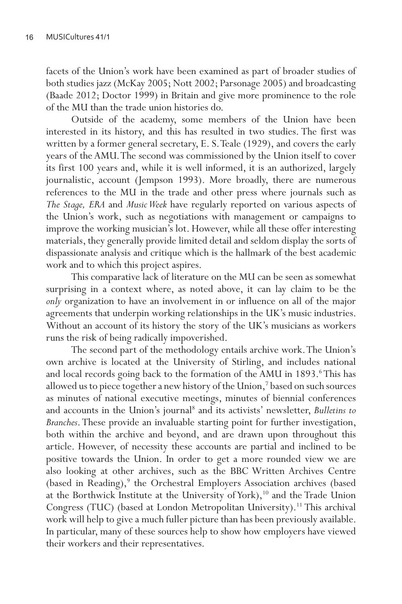facets of the Union's work have been examined as part of broader studies of both studies jazz (McKay 2005; Nott 2002; Parsonage 2005) and broadcasting (Baade 2012; Doctor 1999) in Britain and give more prominence to the role of the MU than the trade union histories do.

Outside of the academy, some members of the Union have been interested in its history, and this has resulted in two studies. The first was written by a former general secretary, E. S. Teale (1929), and covers the early years of the AMU. The second was commissioned by the Union itself to cover its first 100 years and, while it is well informed, it is an authorized, largely journalistic, account (Jempson 1993). More broadly, there are numerous references to the MU in the trade and other press where journals such as *The Stage, ERA* and *Music Week* have regularly reported on various aspects of the Union's work, such as negotiations with management or campaigns to improve the working musician's lot. However, while all these offer interesting materials, they generally provide limited detail and seldom display the sorts of dispassionate analysis and critique which is the hallmark of the best academic work and to which this project aspires.

This comparative lack of literature on the MU can be seen as somewhat surprising in a context where, as noted above, it can lay claim to be the *only* organization to have an involvement in or influence on all of the major agreements that underpin working relationships in the UK's music industries. Without an account of its history the story of the UK's musicians as workers runs the risk of being radically impoverished.

The second part of the methodology entails archive work. The Union's own archive is located at the University of Stirling, and includes national and local records going back to the formation of the AMU in 1893.<sup>6</sup>This has allowed us to piece together a new history of the Union,<sup>7</sup> based on such sources as minutes of national executive meetings, minutes of biennial conferences and accounts in the Union's journal<sup>8</sup> and its activists' newsletter, *Bulletins to Branches*. These provide an invaluable starting point for further investigation, both within the archive and beyond, and are drawn upon throughout this article. However, of necessity these accounts are partial and inclined to be positive towards the Union. In order to get a more rounded view we are also looking at other archives, such as the BBC Written Archives Centre (based in Reading),<sup>9</sup> the Orchestral Employers Association archives (based at the Borthwick Institute at the University of York),<sup>10</sup> and the Trade Union Congress (TUC) (based at London Metropolitan University).<sup>11</sup> This archival work will help to give a much fuller picture than has been previously available. In particular, many of these sources help to show how employers have viewed their workers and their representatives.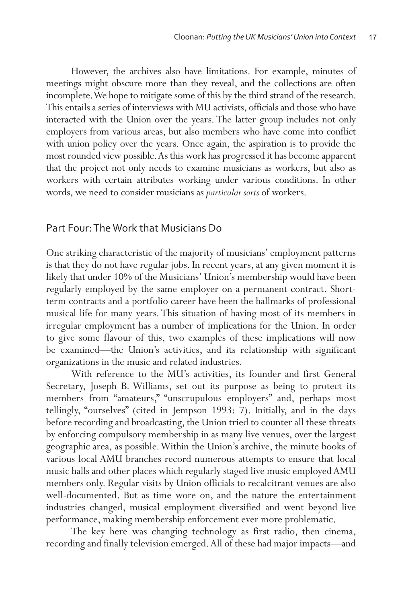However, the archives also have limitations. For example, minutes of meetings might obscure more than they reveal, and the collections are often incomplete. We hope to mitigate some of this by the third strand of the research. This entails a series of interviews with MU activists, officials and those who have interacted with the Union over the years. The latter group includes not only employers from various areas, but also members who have come into conflict with union policy over the years. Once again, the aspiration is to provide the most rounded view possible. As this work has progressed it has become apparent that the project not only needs to examine musicians as workers, but also as workers with certain attributes working under various conditions. In other words, we need to consider musicians as *particular sorts* of workers.

#### Part Four: The Work that Musicians Do

One striking characteristic of the majority of musicians' employment patterns is that they do not have regular jobs. In recent years, at any given moment it is likely that under 10% of the Musicians' Union's membership would have been regularly employed by the same employer on a permanent contract. Shortterm contracts and a portfolio career have been the hallmarks of professional musical life for many years. This situation of having most of its members in irregular employment has a number of implications for the Union. In order to give some flavour of this, two examples of these implications will now be examined—the Union's activities, and its relationship with significant organizations in the music and related industries.

With reference to the MU's activities, its founder and first General Secretary, Joseph B. Williams, set out its purpose as being to protect its members from "amateurs," "unscrupulous employers" and, perhaps most tellingly, "ourselves" (cited in Jempson 1993: 7). Initially, and in the days before recording and broadcasting, the Union tried to counter all these threats by enforcing compulsory membership in as many live venues, over the largest geographic area, as possible. Within the Union's archive, the minute books of various local AMU branches record numerous attempts to ensure that local music halls and other places which regularly staged live music employed AMU members only. Regular visits by Union officials to recalcitrant venues are also well-documented. But as time wore on, and the nature the entertainment industries changed, musical employment diversified and went beyond live performance, making membership enforcement ever more problematic.

The key here was changing technology as first radio, then cinema, recording and finally television emerged. All of these had major impacts—and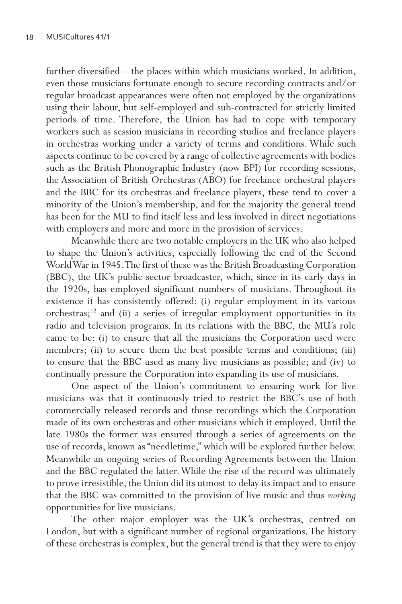further diversified—the places within which musicians worked. In addition, even those musicians fortunate enough to secure recording contracts and/or regular broadcast appearances were often not employed by the organizations using their labour, but self-employed and sub-contracted for strictly limited periods of time. Therefore, the Union has had to cope with temporary workers such as session musicians in recording studios and freelance players in orchestras working under a variety of terms and conditions. While such aspects continue to be covered by a range of collective agreements with bodies such as the British Phonographic Industry (now BPI) for recording sessions, the Association of British Orchestras (ABO) for freelance orchestral players and the BBC for its orchestras and freelance players, these tend to cover a minority of the Union's membership, and for the majority the general trend has been for the MU to find itself less and less involved in direct negotiations with employers and more and more in the provision of services.

Meanwhile there are two notable employers in the UK who also helped to shape the Union's activities, especially following the end of the Second World War in 1945. The first of these was the British Broadcasting Corporation (BBC), the UK's public sector broadcaster, which, since in its early days in the 1920s, has employed significant numbers of musicians. Throughout its existence it has consistently offered: (i) regular employment in its various orchestras;12 and (ii) a series of irregular employment opportunities in its radio and television programs. In its relations with the BBC, the MU's role came to be: (i) to ensure that all the musicians the Corporation used were members; (ii) to secure them the best possible terms and conditions; (iii) to ensure that the BBC used as many live musicians as possible; and (iv) to continually pressure the Corporation into expanding its use of musicians.

One aspect of the Union's commitment to ensuring work for live musicians was that it continuously tried to restrict the BBC's use of both commercially released records and those recordings which the Corporation made of its own orchestras and other musicians which it employed. Until the late 1980s the former was ensured through a series of agreements on the use of records, known as "needletime," which will be explored further below. Meanwhile an ongoing series of Recording Agreements between the Union and the BBC regulated the latter. While the rise of the record was ultimately to prove irresistible, the Union did its utmost to delay its impact and to ensure that the BBC was committed to the provision of live music and thus *working* opportunities for live musicians.

The other major employer was the UK's orchestras, centred on London, but with a significant number of regional organizations. The history of these orchestras is complex, but the general trend is that they were to enjoy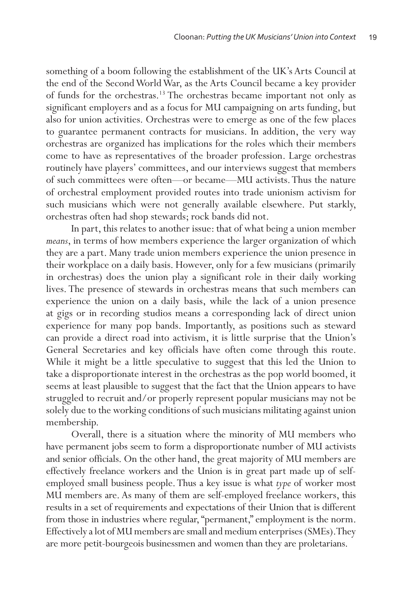something of a boom following the establishment of the UK's Arts Council at the end of the Second World War, as the Arts Council became a key provider of funds for the orchestras.13 The orchestras became important not only as significant employers and as a focus for MU campaigning on arts funding, but also for union activities. Orchestras were to emerge as one of the few places to guarantee permanent contracts for musicians. In addition, the very way orchestras are organized has implications for the roles which their members come to have as representatives of the broader profession. Large orchestras routinely have players' committees, and our interviews suggest that members of such committees were often—or became—MU activists. Thus the nature of orchestral employment provided routes into trade unionism activism for such musicians which were not generally available elsewhere. Put starkly, orchestras often had shop stewards; rock bands did not.

In part, this relates to another issue: that of what being a union member *means*, in terms of how members experience the larger organization of which they are a part. Many trade union members experience the union presence in their workplace on a daily basis. However, only for a few musicians (primarily in orchestras) does the union play a significant role in their daily working lives. The presence of stewards in orchestras means that such members can experience the union on a daily basis, while the lack of a union presence at gigs or in recording studios means a corresponding lack of direct union experience for many pop bands. Importantly, as positions such as steward can provide a direct road into activism, it is little surprise that the Union's General Secretaries and key officials have often come through this route. While it might be a little speculative to suggest that this led the Union to take a disproportionate interest in the orchestras as the pop world boomed, it seems at least plausible to suggest that the fact that the Union appears to have struggled to recruit and/or properly represent popular musicians may not be solely due to the working conditions of such musicians militating against union membership.

Overall, there is a situation where the minority of MU members who have permanent jobs seem to form a disproportionate number of MU activists and senior officials. On the other hand, the great majority of MU members are effectively freelance workers and the Union is in great part made up of selfemployed small business people. Thus a key issue is what *type* of worker most MU members are. As many of them are self-employed freelance workers, this results in a set of requirements and expectations of their Union that is different from those in industries where regular, "permanent," employment is the norm. Effectively a lot of MU members are small and medium enterprises (SMEs). They are more petit-bourgeois businessmen and women than they are proletarians.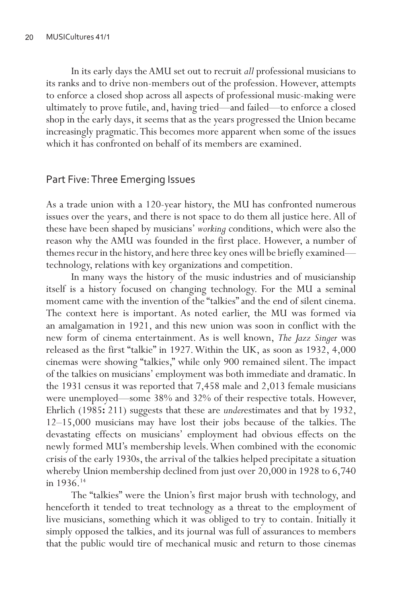In its early days the AMU set out to recruit *all* professional musicians to its ranks and to drive non-members out of the profession. However, attempts to enforce a closed shop across all aspects of professional music-making were ultimately to prove futile, and, having tried—and failed—to enforce a closed shop in the early days, it seems that as the years progressed the Union became increasingly pragmatic. This becomes more apparent when some of the issues which it has confronted on behalf of its members are examined.

### Part Five: Three Emerging Issues

As a trade union with a 120-year history, the MU has confronted numerous issues over the years, and there is not space to do them all justice here. All of these have been shaped by musicians' *working* conditions, which were also the reason why the AMU was founded in the first place. However, a number of themes recur in the history, and here three key ones will be briefly examined technology, relations with key organizations and competition.

In many ways the history of the music industries and of musicianship itself is a history focused on changing technology. For the MU a seminal moment came with the invention of the "talkies" and the end of silent cinema. The context here is important. As noted earlier, the MU was formed via an amalgamation in 1921, and this new union was soon in conflict with the new form of cinema entertainment. As is well known, *The Jazz Singer* was released as the first "talkie" in 1927. Within the UK, as soon as 1932, 4,000 cinemas were showing "talkies," while only 900 remained silent. The impact of the talkies on musicians' employment was both immediate and dramatic. In the 1931 census it was reported that 7,458 male and 2,013 female musicians were unemployed—some 38% and 32% of their respective totals. However, Ehrlich (1985**:** 211) suggests that these are *under*estimates and that by 1932, 12–15,000 musicians may have lost their jobs because of the talkies. The devastating effects on musicians' employment had obvious effects on the newly formed MU's membership levels. When combined with the economic crisis of the early 1930s, the arrival of the talkies helped precipitate a situation whereby Union membership declined from just over 20,000 in 1928 to 6,740 in 1936.14

The "talkies" were the Union's first major brush with technology, and henceforth it tended to treat technology as a threat to the employment of live musicians, something which it was obliged to try to contain. Initially it simply opposed the talkies, and its journal was full of assurances to members that the public would tire of mechanical music and return to those cinemas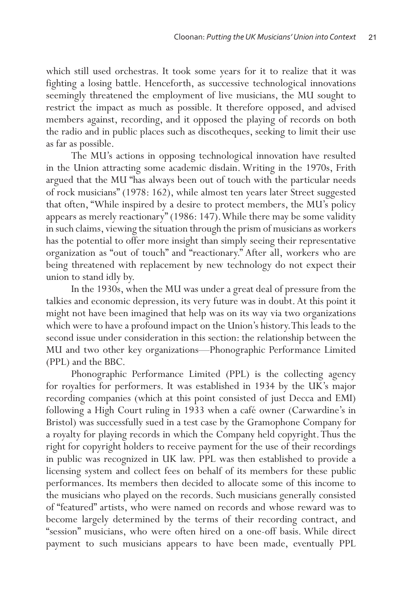which still used orchestras. It took some years for it to realize that it was fighting a losing battle. Henceforth, as successive technological innovations seemingly threatened the employment of live musicians, the MU sought to restrict the impact as much as possible. It therefore opposed, and advised members against, recording, and it opposed the playing of records on both the radio and in public places such as discotheques, seeking to limit their use as far as possible.

The MU's actions in opposing technological innovation have resulted in the Union attracting some academic disdain. Writing in the 1970s, Frith argued that the MU "has always been out of touch with the particular needs of rock musicians" (1978: 162), while almost ten years later Street suggested that often, "While inspired by a desire to protect members, the MU's policy appears as merely reactionary" (1986: 147). While there may be some validity in such claims, viewing the situation through the prism of musicians as workers has the potential to offer more insight than simply seeing their representative organization as "out of touch" and "reactionary." After all, workers who are being threatened with replacement by new technology do not expect their union to stand idly by.

In the 1930s, when the MU was under a great deal of pressure from the talkies and economic depression, its very future was in doubt. At this point it might not have been imagined that help was on its way via two organizations which were to have a profound impact on the Union's history. This leads to the second issue under consideration in this section: the relationship between the MU and two other key organizations—Phonographic Performance Limited (PPL) and the BBC.

Phonographic Performance Limited (PPL) is the collecting agency for royalties for performers. It was established in 1934 by the UK's major recording companies (which at this point consisted of just Decca and EMI) following a High Court ruling in 1933 when a café owner (Carwardine's in Bristol) was successfully sued in a test case by the Gramophone Company for a royalty for playing records in which the Company held copyright. Thus the right for copyright holders to receive payment for the use of their recordings in public was recognized in UK law. PPL was then established to provide a licensing system and collect fees on behalf of its members for these public performances. Its members then decided to allocate some of this income to the musicians who played on the records. Such musicians generally consisted of "featured" artists, who were named on records and whose reward was to become largely determined by the terms of their recording contract, and "session" musicians, who were often hired on a one-off basis. While direct payment to such musicians appears to have been made, eventually PPL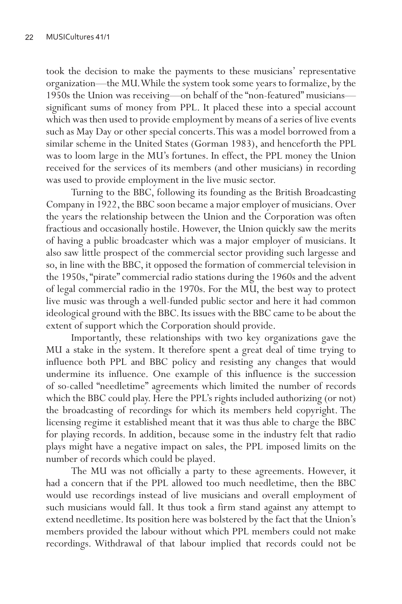took the decision to make the payments to these musicians' representative organization—the MU. While the system took some years to formalize, by the 1950s the Union was receiving—on behalf of the "non-featured" musicians significant sums of money from PPL. It placed these into a special account which was then used to provide employment by means of a series of live events such as May Day or other special concerts. This was a model borrowed from a similar scheme in the United States (Gorman 1983), and henceforth the PPL was to loom large in the MU's fortunes. In effect, the PPL money the Union received for the services of its members (and other musicians) in recording was used to provide employment in the live music sector.

Turning to the BBC, following its founding as the British Broadcasting Company in 1922, the BBC soon became a major employer of musicians. Over the years the relationship between the Union and the Corporation was often fractious and occasionally hostile. However, the Union quickly saw the merits of having a public broadcaster which was a major employer of musicians. It also saw little prospect of the commercial sector providing such largesse and so, in line with the BBC, it opposed the formation of commercial television in the 1950s, "pirate" commercial radio stations during the 1960s and the advent of legal commercial radio in the 1970s. For the MU, the best way to protect live music was through a well-funded public sector and here it had common ideological ground with the BBC. Its issues with the BBC came to be about the extent of support which the Corporation should provide.

Importantly, these relationships with two key organizations gave the MU a stake in the system. It therefore spent a great deal of time trying to influence both PPL and BBC policy and resisting any changes that would undermine its influence. One example of this influence is the succession of so-called "needletime" agreements which limited the number of records which the BBC could play. Here the PPL's rights included authorizing (or not) the broadcasting of recordings for which its members held copyright. The licensing regime it established meant that it was thus able to charge the BBC for playing records. In addition, because some in the industry felt that radio plays might have a negative impact on sales, the PPL imposed limits on the number of records which could be played.

The MU was not officially a party to these agreements. However, it had a concern that if the PPL allowed too much needletime, then the BBC would use recordings instead of live musicians and overall employment of such musicians would fall. It thus took a firm stand against any attempt to extend needletime. Its position here was bolstered by the fact that the Union's members provided the labour without which PPL members could not make recordings. Withdrawal of that labour implied that records could not be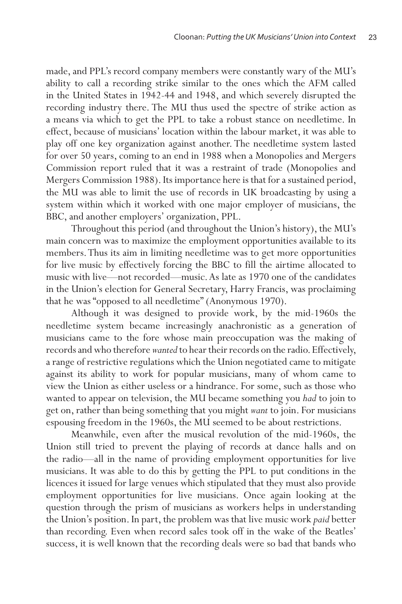made, and PPL's record company members were constantly wary of the MU's ability to call a recording strike similar to the ones which the AFM called in the United States in 1942-44 and 1948, and which severely disrupted the recording industry there. The MU thus used the spectre of strike action as a means via which to get the PPL to take a robust stance on needletime. In effect, because of musicians' location within the labour market, it was able to play off one key organization against another. The needletime system lasted for over 50 years, coming to an end in 1988 when a Monopolies and Mergers Commission report ruled that it was a restraint of trade (Monopolies and Mergers Commission 1988). Its importance here is that for a sustained period, the MU was able to limit the use of records in UK broadcasting by using a system within which it worked with one major employer of musicians, the BBC, and another employers' organization, PPL.

Throughout this period (and throughout the Union's history), the MU's main concern was to maximize the employment opportunities available to its members. Thus its aim in limiting needletime was to get more opportunities for live music by effectively forcing the BBC to fill the airtime allocated to music with live—not recorded—music. As late as 1970 one of the candidates in the Union's election for General Secretary, Harry Francis, was proclaiming that he was "opposed to all needletime" (Anonymous 1970).

Although it was designed to provide work, by the mid-1960s the needletime system became increasingly anachronistic as a generation of musicians came to the fore whose main preoccupation was the making of records and who therefore *wanted* to hear their records on the radio. Effectively, a range of restrictive regulations which the Union negotiated came to mitigate against its ability to work for popular musicians, many of whom came to view the Union as either useless or a hindrance. For some, such as those who wanted to appear on television, the MU became something you *had* to join to get on, rather than being something that you might *want* to join. For musicians espousing freedom in the 1960s, the MU seemed to be about restrictions.

Meanwhile, even after the musical revolution of the mid-1960s, the Union still tried to prevent the playing of records at dance halls and on the radio—all in the name of providing employment opportunities for live musicians. It was able to do this by getting the PPL to put conditions in the licences it issued for large venues which stipulated that they must also provide employment opportunities for live musicians. Once again looking at the question through the prism of musicians as workers helps in understanding the Union's position. In part, the problem was that live music work *paid* better than recording. Even when record sales took off in the wake of the Beatles' success, it is well known that the recording deals were so bad that bands who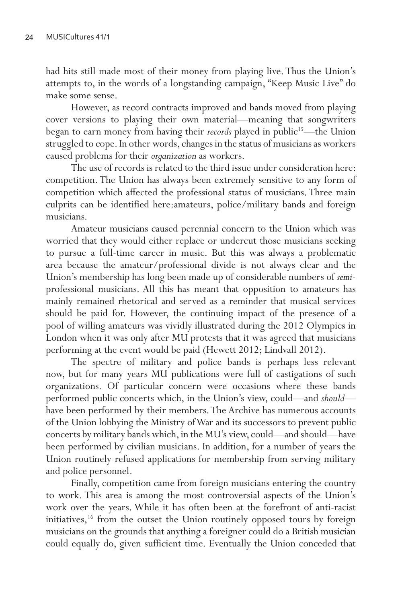had hits still made most of their money from playing live. Thus the Union's attempts to, in the words of a longstanding campaign, "Keep Music Live" do make some sense.

However, as record contracts improved and bands moved from playing cover versions to playing their own material—meaning that songwriters began to earn money from having their *records* played in public<sup>15</sup>—the Union struggled to cope. In other words, changes in the status of musicians as workers caused problems for their *organization* as workers.

The use of records is related to the third issue under consideration here: competition. The Union has always been extremely sensitive to any form of competition which affected the professional status of musicians. Three main culprits can be identified here:amateurs, police/military bands and foreign musicians.

Amateur musicians caused perennial concern to the Union which was worried that they would either replace or undercut those musicians seeking to pursue a full-time career in music. But this was always a problematic area because the amateur/professional divide is not always clear and the Union's membership has long been made up of considerable numbers of *semi*professional musicians. All this has meant that opposition to amateurs has mainly remained rhetorical and served as a reminder that musical services should be paid for. However, the continuing impact of the presence of a pool of willing amateurs was vividly illustrated during the 2012 Olympics in London when it was only after MU protests that it was agreed that musicians performing at the event would be paid (Hewett 2012; Lindvall 2012).

The spectre of military and police bands is perhaps less relevant now, but for many years MU publications were full of castigations of such organizations. Of particular concern were occasions where these bands performed public concerts which, in the Union's view, could—and *should* have been performed by their members. The Archive has numerous accounts of the Union lobbying the Ministry of War and its successors to prevent public concerts by military bands which, in the MU's view, could—and should—have been performed by civilian musicians. In addition, for a number of years the Union routinely refused applications for membership from serving military and police personnel.

Finally, competition came from foreign musicians entering the country to work. This area is among the most controversial aspects of the Union's work over the years. While it has often been at the forefront of anti-racist initiatives,<sup>16</sup> from the outset the Union routinely opposed tours by foreign musicians on the grounds that anything a foreigner could do a British musician could equally do, given sufficient time. Eventually the Union conceded that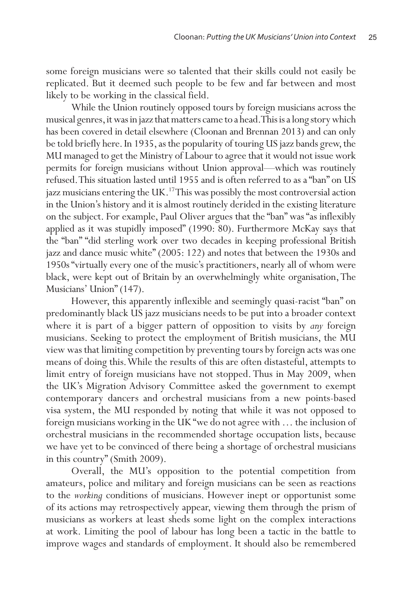some foreign musicians were so talented that their skills could not easily be replicated. But it deemed such people to be few and far between and most likely to be working in the classical field.

While the Union routinely opposed tours by foreign musicians across the musical genres, it was in jazz that matters came to a head. This is a long story which has been covered in detail elsewhere (Cloonan and Brennan 2013) and can only be told briefly here. In 1935, as the popularity of touring US jazz bands grew, the MU managed to get the Ministry of Labour to agree that it would not issue work permits for foreign musicians without Union approval—which was routinely refused. This situation lasted until 1955 and is often referred to as a "ban" on US jazz musicians entering the UK.<sup>17</sup> This was possibly the most controversial action in the Union's history and it is almost routinely derided in the existing literature on the subject. For example, Paul Oliver argues that the "ban" was "as inflexibly applied as it was stupidly imposed" (1990: 80). Furthermore McKay says that the "ban" "did sterling work over two decades in keeping professional British jazz and dance music white" (2005: 122) and notes that between the 1930s and 1950s "virtually every one of the music's practitioners, nearly all of whom were black, were kept out of Britain by an overwhelmingly white organisation, The Musicians' Union" (147).

However, this apparently inflexible and seemingly quasi-racist "ban" on predominantly black US jazz musicians needs to be put into a broader context where it is part of a bigger pattern of opposition to visits by *any* foreign musicians. Seeking to protect the employment of British musicians, the MU view was that limiting competition by preventing tours by foreign acts was one means of doing this. While the results of this are often distasteful, attempts to limit entry of foreign musicians have not stopped. Thus in May 2009, when the UK's Migration Advisory Committee asked the government to exempt contemporary dancers and orchestral musicians from a new points-based visa system, the MU responded by noting that while it was not opposed to foreign musicians working in the UK "we do not agree with … the inclusion of orchestral musicians in the recommended shortage occupation lists, because we have yet to be convinced of there being a shortage of orchestral musicians in this country" (Smith 2009).

Overall, the MU's opposition to the potential competition from amateurs, police and military and foreign musicians can be seen as reactions to the *working* conditions of musicians. However inept or opportunist some of its actions may retrospectively appear, viewing them through the prism of musicians as workers at least sheds some light on the complex interactions at work. Limiting the pool of labour has long been a tactic in the battle to improve wages and standards of employment. It should also be remembered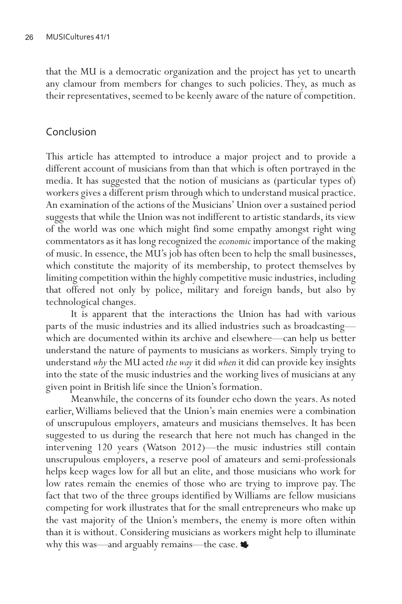that the MU is a democratic organization and the project has yet to unearth any clamour from members for changes to such policies. They, as much as their representatives, seemed to be keenly aware of the nature of competition.

# Conclusion

This article has attempted to introduce a major project and to provide a different account of musicians from than that which is often portrayed in the media. It has suggested that the notion of musicians as (particular types of) workers gives a different prism through which to understand musical practice. An examination of the actions of the Musicians' Union over a sustained period suggests that while the Union was not indifferent to artistic standards, its view of the world was one which might find some empathy amongst right wing commentators as it has long recognized the *economic* importance of the making of music. In essence, the MU's job has often been to help the small businesses, which constitute the majority of its membership, to protect themselves by limiting competition within the highly competitive music industries, including that offered not only by police, military and foreign bands, but also by technological changes.

It is apparent that the interactions the Union has had with various parts of the music industries and its allied industries such as broadcasting which are documented within its archive and elsewhere—can help us better understand the nature of payments to musicians as workers. Simply trying to understand *why* the MU acted *the way* it did *when* it did can provide key insights into the state of the music industries and the working lives of musicians at any given point in British life since the Union's formation.

Meanwhile, the concerns of its founder echo down the years. As noted earlier, Williams believed that the Union's main enemies were a combination of unscrupulous employers, amateurs and musicians themselves. It has been suggested to us during the research that here not much has changed in the intervening 120 years (Watson 2012)—the music industries still contain unscrupulous employers, a reserve pool of amateurs and semi-professionals helps keep wages low for all but an elite, and those musicians who work for low rates remain the enemies of those who are trying to improve pay. The fact that two of the three groups identified by Williams are fellow musicians competing for work illustrates that for the small entrepreneurs who make up the vast majority of the Union's members, the enemy is more often within than it is without. Considering musicians as workers might help to illuminate why this was—and arguably remains—the case.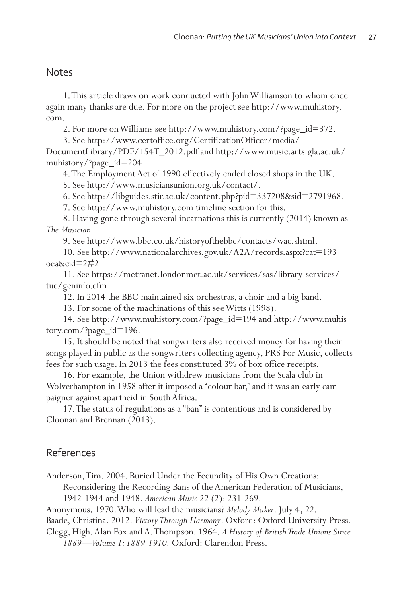### Notes

1. This article draws on work conducted with John Williamson to whom once again many thanks are due. For more on the project see http://www.muhistory. com.

2. For more on Williams see http://www.muhistory.com/?page\_id=372.

3. See http://www.certoffice.org/CertificationOfficer/media/

DocumentLibrary/PDF/154T\_2012.pdf and http://www.music.arts.gla.ac.uk/ muhistory/?page\_id=204

4. The Employment Act of 1990 effectively ended closed shops in the UK.

5. See http://www.musiciansunion.org.uk/contact/.

6. See http://libguides.stir.ac.uk/content.php?pid=337208&sid=2791968.

7. See http://www.muhistory.com timeline section for this.

8. Having gone through several incarnations this is currently (2014) known as *The Musician*

9. See http://www.bbc.co.uk/historyofthebbc/contacts/wac.shtml.

10. See http://www.nationalarchives.gov.uk/A2A/records.aspx?cat=193 oea&cid=2#2

11. See https://metranet.londonmet.ac.uk/services/sas/library-services/ tuc/geninfo.cfm

12. In 2014 the BBC maintained six orchestras, a choir and a big band.

13. For some of the machinations of this see Witts (1998).

14. See http://www.muhistory.com/?page\_id=194 and http://www.muhistory.com/?page\_id=196.

15. It should be noted that songwriters also received money for having their songs played in public as the songwriters collecting agency, PRS For Music, collects fees for such usage. In 2013 the fees constituted 3% of box office receipts.

16. For example, the Union withdrew musicians from the Scala club in Wolverhampton in 1958 after it imposed a "colour bar," and it was an early campaigner against apartheid in South Africa.

17. The status of regulations as a "ban" is contentious and is considered by Cloonan and Brennan (2013).

# References

Anderson, Tim. 2004. Buried Under the Fecundity of His Own Creations: Reconsidering the Recording Bans of the American Federation of Musicians, 1942-1944 and 1948. *American Music* 22 (2): 231-269.

Anonymous. 1970. Who will lead the musicians? *Melody Maker*. July 4, 22.

Baade, Christina. 2012. *Victory Through Harmony*. Oxford: Oxford University Press.

Clegg, High. Alan Fox and A. Thompson. 1964. *A History of British Trade Unions Since 1889—Volume 1: 1889-1910.* Oxford: Clarendon Press.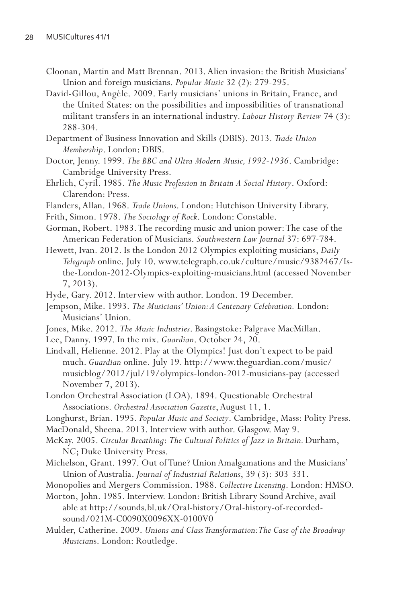- Cloonan, Martin and Matt Brennan. 2013. Alien invasion: the British Musicians' Union and foreign musicians. *Popular Music* 32 (2): 279-295.
- David-Gillou, Angèle. 2009. Early musicians' unions in Britain, France, and the United States: on the possibilities and impossibilities of transnational militant transfers in an international industry*. Labour History Review* 74 (3): 288-304.
- Department of Business Innovation and Skills (DBIS). 2013. *Trade Union Membership*. London: DBIS.
- Doctor, Jenny. 1999. *The BBC and Ultra Modern Music, 1992-1936*. Cambridge: Cambridge University Press.
- Ehrlich, Cyril. 1985. *The Music Profession in Britain A Social History*. Oxford: Clarendon: Press.
- Flanders, Allan. 1968. *Trade Unions*. London: Hutchison University Library.
- Frith, Simon. 1978. *The Sociology of Rock*. London: Constable.
- Gorman, Robert. 1983. The recording music and union power: The case of the American Federation of Musicians. *Southwestern Law Journal* 37: 697-784.
- Hewett, Ivan. 2012. Is the London 2012 Olympics exploiting musicians, *Daily Telegraph* online. July 10. www.telegraph.co.uk/culture/music/9382467/Isthe-London-2012-Olympics-exploiting-musicians.html (accessed November 7, 2013).
- Hyde, Gary. 2012. Interview with author. London. 19 December.
- Jempson, Mike. 1993. *The Musicians' Union: A Centenary Celebration.* London: Musicians' Union.
- Jones, Mike. 2012. *The Music Industries*. Basingstoke: Palgrave MacMillan.
- Lee, Danny. 1997. In the mix. *Guardian*. October 24, 20.
- Lindvall, Helienne. 2012. Play at the Olympics! Just don't expect to be paid much. *Guardian* online. July 19. http://www.theguardian.com/music/ musicblog/2012/jul/19/olympics-london-2012-musicians-pay (accessed November 7, 2013).
- London Orchestral Association (LOA). 1894. Questionable Orchestral Associations. *Orchestral Association Gazette*, August 11, 1.
- Longhurst, Brian. 1995. *Popular Music and Society*. Cambridge, Mass: Polity Press.
- MacDonald, Sheena. 2013. Interview with author. Glasgow. May 9.
- McKay. 2005. *Circular Breathing*: *The Cultural Politics of Jazz in Britain.* Durham, NC; Duke University Press.
- Michelson, Grant. 1997. Out of Tune? Union Amalgamations and the Musicians' Union of Australia. *Journal of Industrial Relations*, 39 (3): 303-331.
- Monopolies and Mergers Commission. 1988. *Collective Licensing*. London: HMSO.
- Morton, John. 1985. Interview. London: British Library Sound Archive, available at http://sounds.bl.uk/Oral-history/Oral-history-of-recordedsound/021M-C0090X0096XX-0100V0
- Mulder, Catherine. 2009. *Unions and Class Transformation: The Case of the Broadway Musician*s. London: Routledge.